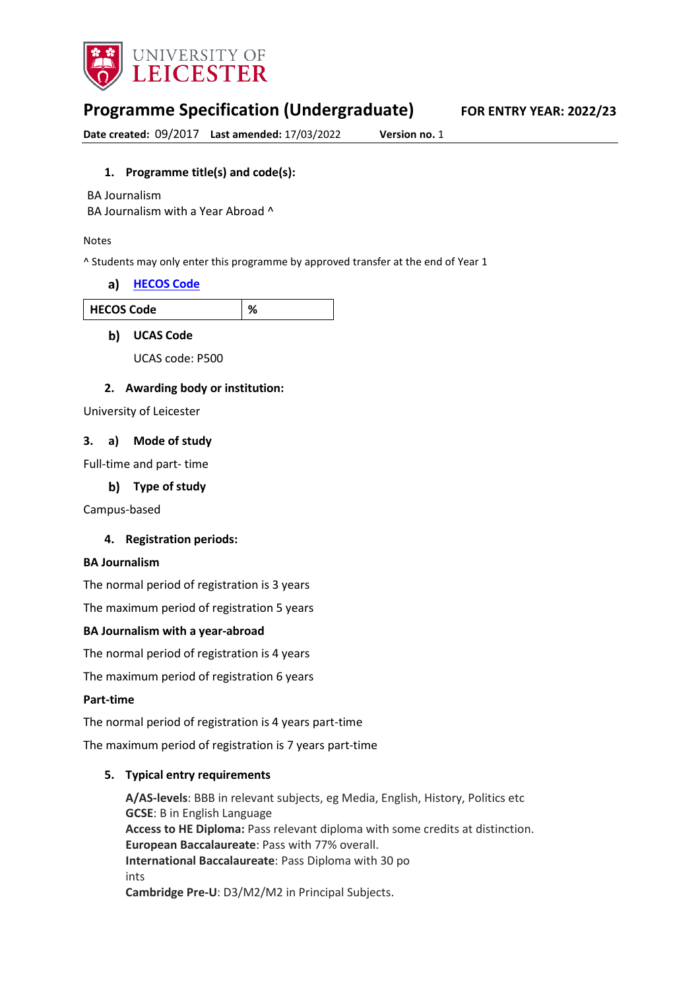

# **Programme Specification (Undergraduate) FOR ENTRY YEAR: 2022/23**

**Date created:** 09/2017 **Last amended:** 17/03/2022 **Version no.** 1

### **1. Programme title(s) and code(s):**

BA Journalism

BA Journalism with a Year Abroad ^

#### Notes

^ Students may only enter this programme by approved transfer at the end of Year 1

#### **[HECOS Code](https://www.hesa.ac.uk/innovation/hecos)**

| วde<br>HFCO<br>$\mathbf{I}$<br>-<br>- |
|---------------------------------------|
|---------------------------------------|

#### **b)** UCAS Code

UCAS code: P500

#### **2. Awarding body or institution:**

University of Leicester

#### **3. a) Mode of study**

Full-time and part- time

#### **Type of study**

Campus-based

#### **4. Registration periods:**

#### **BA Journalism**

The normal period of registration is 3 years

The maximum period of registration 5 years

#### **BA Journalism with a year-abroad**

The normal period of registration is 4 years

The maximum period of registration 6 years

#### **Part-time**

The normal period of registration is 4 years part-time

The maximum period of registration is 7 years part-time

#### **5. Typical entry requirements**

**A/AS-levels**: BBB in relevant subjects, eg Media, English, History, Politics etc **GCSE**: B in English Language **Access to HE Diploma:** Pass relevant diploma with some credits at distinction. **European Baccalaureate**: Pass with 77% overall. **International Baccalaureate**: Pass Diploma with 30 po ints **Cambridge Pre-U**: D3/M2/M2 in Principal Subjects.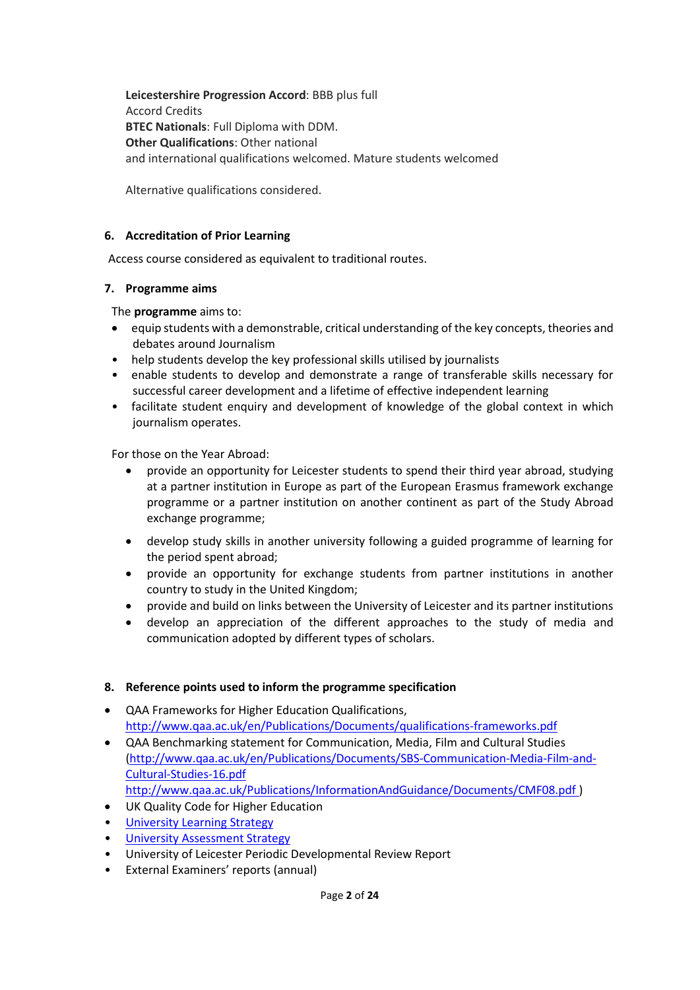**Leicestershire Progression Accord**: BBB plus full Accord Credits **BTEC Nationals**: Full Diploma with DDM. **Other Qualifications**: Other national and international qualifications welcomed. Mature students welcomed

Alternative qualifications considered.

### **6. Accreditation of Prior Learning**

Access course considered as equivalent to traditional routes.

### **7. Programme aims**

The **programme** aims to:

- equip students with a demonstrable, critical understanding of the key concepts, theories and debates around Journalism
- help students develop the key professional skills utilised by journalists
- enable students to develop and demonstrate a range of transferable skills necessary for successful career development and a lifetime of effective independent learning
- facilitate student enquiry and development of knowledge of the global context in which journalism operates.

For those on the Year Abroad:

- provide an opportunity for Leicester students to spend their third year abroad, studying at a partner institution in Europe as part of the European Erasmus framework exchange programme or a partner institution on another continent as part of the Study Abroad exchange programme;
- develop study skills in another university following a guided programme of learning for the period spent abroad;
- provide an opportunity for exchange students from partner institutions in another country to study in the United Kingdom;
- provide and build on links between the University of Leicester and its partner institutions
- develop an appreciation of the different approaches to the study of media and communication adopted by different types of scholars.

## **8. Reference points used to inform the programme specification**

- QAA Frameworks for Higher Education Qualifications, <http://www.qaa.ac.uk/en/Publications/Documents/qualifications-frameworks.pdf>
- QAA Benchmarking statement for Communication, Media, Film and Cultural Studies [\(http://www.qaa.ac.uk/en/Publications/Documents/SBS-Communication-Media-Film-and-](http://www.qaa.ac.uk/en/Publications/Documents/SBS-Communication-Media-Film-and-Cultural-Studies-16.pdf)[Cultural-Studies-16.pdf](http://www.qaa.ac.uk/en/Publications/Documents/SBS-Communication-Media-Film-and-Cultural-Studies-16.pdf)  [http://www.qaa.ac.uk/Publications/InformationAndGuidance/Documents/CMF08.pdf](http://www.qaa.ac.uk/en/Publications/Documents/SBS-Communication-Media-Film-and-Cultural-Studies-16.pdf) )
- UK Quality Code for Higher Education
- University Learnin[g Strategy](https://www2.le.ac.uk/offices/sas2/quality/learnteach)
- [University Assessment Strategy](https://www2.le.ac.uk/offices/sas2/quality/learnteach)
- University of Leicester Periodic Developmental Review Report
- External Examiners' reports (annual)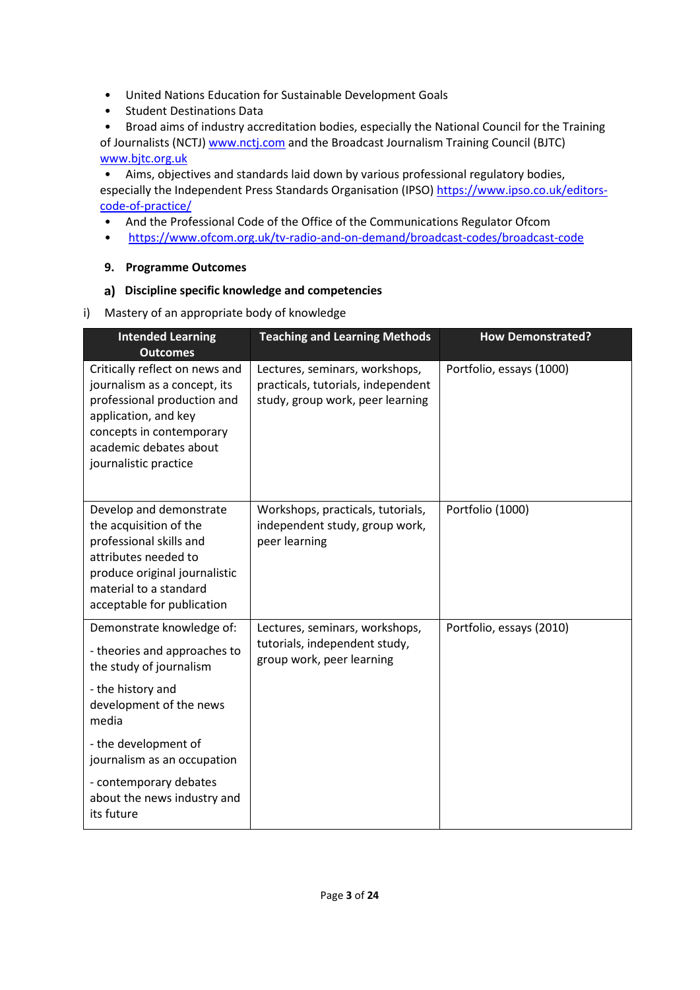- United Nations Education for Sustainable Development Goals
- Student Destinations Data

• Broad aims of industry accreditation bodies, especially the National Council for the Training of Journalists (NCTJ[\) www.nctj.com](http://www.nctj.com/) and the Broadcast Journalism Training Council (BJTC) [www.bjtc.org.uk](http://www.bjtc.org.uk/)

• Aims, objectives and standards laid down by various professional regulatory bodies, especially the Independent Press Standards Organisation (IPSO[\) https://www.ipso.co.uk/editors](https://www.ipso.co.uk/editors-code-of-practice/)[code-of-practice/](https://www.ipso.co.uk/editors-code-of-practice/)

- And the Professional Code of the Office of the Communications Regulator Ofcom
- <https://www.ofcom.org.uk/tv-radio-and-on-demand/broadcast-codes/broadcast-code>

## **9. Programme Outcomes**

## **Discipline specific knowledge and competencies**

i) Mastery of an appropriate body of knowledge

| <b>Intended Learning</b><br><b>Outcomes</b>                                                                                                                                                          | <b>Teaching and Learning Methods</b>                                                                     | <b>How Demonstrated?</b> |
|------------------------------------------------------------------------------------------------------------------------------------------------------------------------------------------------------|----------------------------------------------------------------------------------------------------------|--------------------------|
| Critically reflect on news and<br>journalism as a concept, its<br>professional production and<br>application, and key<br>concepts in contemporary<br>academic debates about<br>journalistic practice | Lectures, seminars, workshops,<br>practicals, tutorials, independent<br>study, group work, peer learning | Portfolio, essays (1000) |
| Develop and demonstrate<br>the acquisition of the<br>professional skills and<br>attributes needed to<br>produce original journalistic<br>material to a standard<br>acceptable for publication        | Workshops, practicals, tutorials,<br>independent study, group work,<br>peer learning                     | Portfolio (1000)         |
| Demonstrate knowledge of:<br>- theories and approaches to<br>the study of journalism                                                                                                                 | Lectures, seminars, workshops,<br>tutorials, independent study,<br>group work, peer learning             | Portfolio, essays (2010) |
| - the history and<br>development of the news<br>media                                                                                                                                                |                                                                                                          |                          |
| - the development of<br>journalism as an occupation                                                                                                                                                  |                                                                                                          |                          |
| - contemporary debates<br>about the news industry and<br>its future                                                                                                                                  |                                                                                                          |                          |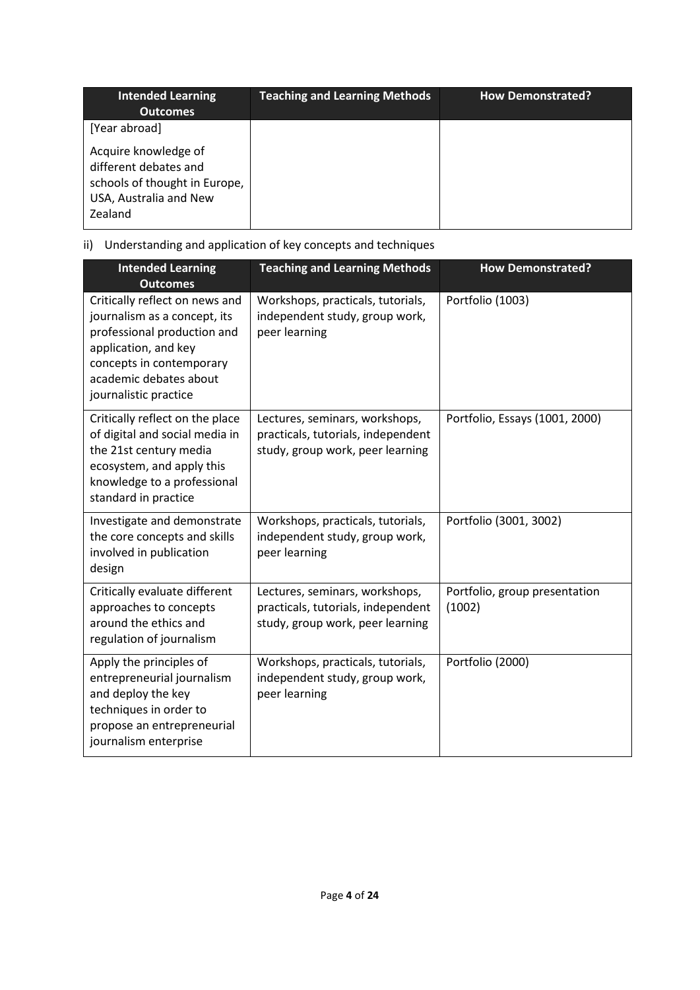| <b>Intended Learning</b><br><b>Outcomes</b>                                                                         | <b>Teaching and Learning Methods</b> | <b>How Demonstrated?</b> |
|---------------------------------------------------------------------------------------------------------------------|--------------------------------------|--------------------------|
| [Year abroad]                                                                                                       |                                      |                          |
| Acquire knowledge of<br>different debates and<br>schools of thought in Europe,<br>USA, Australia and New<br>Zealand |                                      |                          |

# ii) Understanding and application of key concepts and techniques

| <b>Intended Learning</b><br><b>Outcomes</b>                                                                                                                                                          | <b>Teaching and Learning Methods</b>                                                                     | <b>How Demonstrated?</b>                |
|------------------------------------------------------------------------------------------------------------------------------------------------------------------------------------------------------|----------------------------------------------------------------------------------------------------------|-----------------------------------------|
| Critically reflect on news and<br>journalism as a concept, its<br>professional production and<br>application, and key<br>concepts in contemporary<br>academic debates about<br>journalistic practice | Workshops, practicals, tutorials,<br>independent study, group work,<br>peer learning                     | Portfolio (1003)                        |
| Critically reflect on the place<br>of digital and social media in<br>the 21st century media<br>ecosystem, and apply this<br>knowledge to a professional<br>standard in practice                      | Lectures, seminars, workshops,<br>practicals, tutorials, independent<br>study, group work, peer learning | Portfolio, Essays (1001, 2000)          |
| Investigate and demonstrate<br>the core concepts and skills<br>involved in publication<br>design                                                                                                     | Workshops, practicals, tutorials,<br>independent study, group work,<br>peer learning                     | Portfolio (3001, 3002)                  |
| Critically evaluate different<br>approaches to concepts<br>around the ethics and<br>regulation of journalism                                                                                         | Lectures, seminars, workshops,<br>practicals, tutorials, independent<br>study, group work, peer learning | Portfolio, group presentation<br>(1002) |
| Apply the principles of<br>entrepreneurial journalism<br>and deploy the key<br>techniques in order to<br>propose an entrepreneurial<br>journalism enterprise                                         | Workshops, practicals, tutorials,<br>independent study, group work,<br>peer learning                     | Portfolio (2000)                        |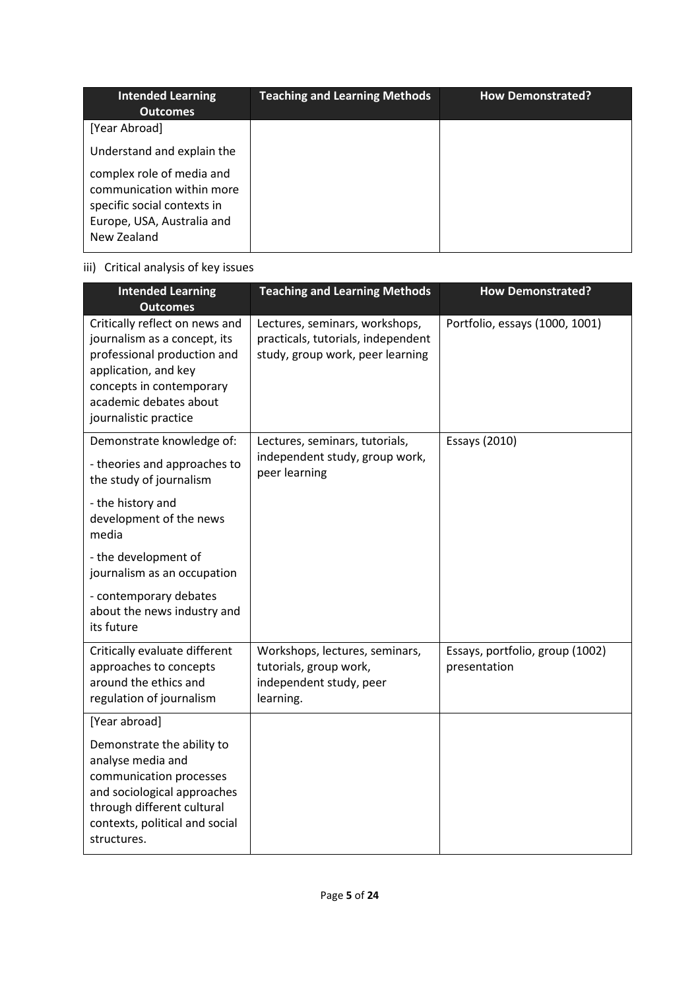| <b>Intended Learning</b>                                                                                                                                | <b>Teaching and Learning Methods</b> | <b>How Demonstrated?</b> |
|---------------------------------------------------------------------------------------------------------------------------------------------------------|--------------------------------------|--------------------------|
| <b>Outcomes</b><br>[Year Abroad]<br>Understand and explain the<br>complex role of media and<br>communication within more<br>specific social contexts in |                                      |                          |
| Europe, USA, Australia and<br>New Zealand                                                                                                               |                                      |                          |

# iii) Critical analysis of key issues

| <b>Intended Learning</b><br><b>Outcomes</b>                                                                                                                                                          | <b>Teaching and Learning Methods</b>                                                                     | <b>How Demonstrated?</b>                        |
|------------------------------------------------------------------------------------------------------------------------------------------------------------------------------------------------------|----------------------------------------------------------------------------------------------------------|-------------------------------------------------|
| Critically reflect on news and<br>journalism as a concept, its<br>professional production and<br>application, and key<br>concepts in contemporary<br>academic debates about<br>journalistic practice | Lectures, seminars, workshops,<br>practicals, tutorials, independent<br>study, group work, peer learning | Portfolio, essays (1000, 1001)                  |
| Demonstrate knowledge of:<br>- theories and approaches to<br>the study of journalism                                                                                                                 | Lectures, seminars, tutorials,<br>independent study, group work,<br>peer learning                        | Essays (2010)                                   |
| - the history and<br>development of the news<br>media                                                                                                                                                |                                                                                                          |                                                 |
| - the development of<br>journalism as an occupation                                                                                                                                                  |                                                                                                          |                                                 |
| - contemporary debates<br>about the news industry and<br>its future                                                                                                                                  |                                                                                                          |                                                 |
| Critically evaluate different<br>approaches to concepts<br>around the ethics and<br>regulation of journalism                                                                                         | Workshops, lectures, seminars,<br>tutorials, group work,<br>independent study, peer<br>learning.         | Essays, portfolio, group (1002)<br>presentation |
| [Year abroad]                                                                                                                                                                                        |                                                                                                          |                                                 |
| Demonstrate the ability to<br>analyse media and<br>communication processes<br>and sociological approaches<br>through different cultural<br>contexts, political and social<br>structures.             |                                                                                                          |                                                 |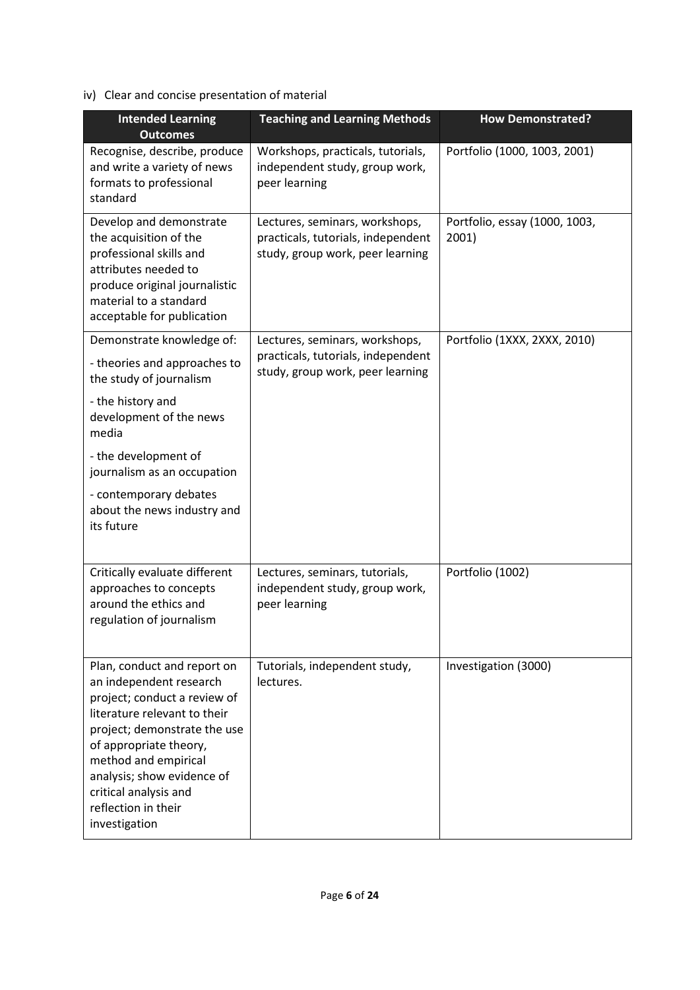# iv) Clear and concise presentation of material

| <b>Intended Learning</b><br><b>Outcomes</b>                                                                                                                                                                                                                                                             | <b>Teaching and Learning Methods</b>                                                                     | <b>How Demonstrated?</b>               |
|---------------------------------------------------------------------------------------------------------------------------------------------------------------------------------------------------------------------------------------------------------------------------------------------------------|----------------------------------------------------------------------------------------------------------|----------------------------------------|
| Recognise, describe, produce<br>and write a variety of news<br>formats to professional<br>standard                                                                                                                                                                                                      | Workshops, practicals, tutorials,<br>independent study, group work,<br>peer learning                     | Portfolio (1000, 1003, 2001)           |
| Develop and demonstrate<br>the acquisition of the<br>professional skills and<br>attributes needed to<br>produce original journalistic<br>material to a standard<br>acceptable for publication                                                                                                           | Lectures, seminars, workshops,<br>practicals, tutorials, independent<br>study, group work, peer learning | Portfolio, essay (1000, 1003,<br>2001) |
| Demonstrate knowledge of:<br>- theories and approaches to<br>the study of journalism<br>- the history and<br>development of the news<br>media<br>- the development of<br>journalism as an occupation                                                                                                    | Lectures, seminars, workshops,<br>practicals, tutorials, independent<br>study, group work, peer learning | Portfolio (1XXX, 2XXX, 2010)           |
| - contemporary debates<br>about the news industry and<br>its future                                                                                                                                                                                                                                     |                                                                                                          |                                        |
| Critically evaluate different<br>approaches to concepts<br>around the ethics and<br>regulation of journalism                                                                                                                                                                                            | Lectures, seminars, tutorials,<br>independent study, group work,<br>peer learning                        | Portfolio (1002)                       |
| Plan, conduct and report on<br>an independent research<br>project; conduct a review of<br>literature relevant to their<br>project; demonstrate the use<br>of appropriate theory,<br>method and empirical<br>analysis; show evidence of<br>critical analysis and<br>reflection in their<br>investigation | Tutorials, independent study,<br>lectures.                                                               | Investigation (3000)                   |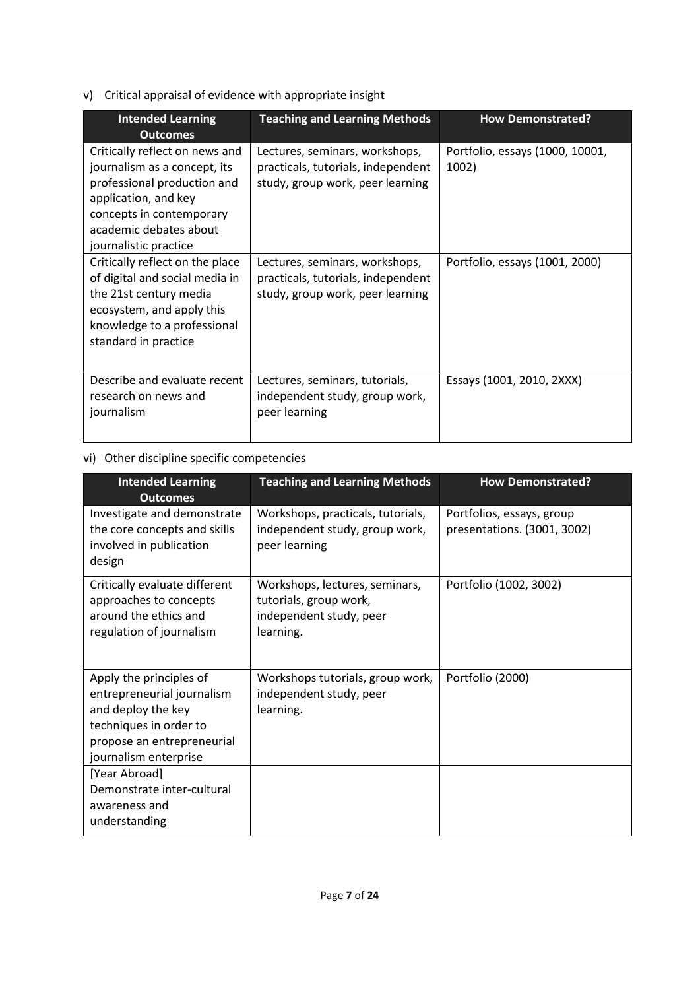# v) Critical appraisal of evidence with appropriate insight

| <b>Intended Learning</b><br><b>Outcomes</b>                                                                                                                                                          | <b>Teaching and Learning Methods</b>                                                                     | <b>How Demonstrated?</b>                 |
|------------------------------------------------------------------------------------------------------------------------------------------------------------------------------------------------------|----------------------------------------------------------------------------------------------------------|------------------------------------------|
| Critically reflect on news and<br>journalism as a concept, its<br>professional production and<br>application, and key<br>concepts in contemporary<br>academic debates about<br>journalistic practice | Lectures, seminars, workshops,<br>practicals, tutorials, independent<br>study, group work, peer learning | Portfolio, essays (1000, 10001,<br>1002) |
| Critically reflect on the place<br>of digital and social media in<br>the 21st century media<br>ecosystem, and apply this<br>knowledge to a professional<br>standard in practice                      | Lectures, seminars, workshops,<br>practicals, tutorials, independent<br>study, group work, peer learning | Portfolio, essays (1001, 2000)           |
| Describe and evaluate recent<br>research on news and<br>journalism                                                                                                                                   | Lectures, seminars, tutorials,<br>independent study, group work,<br>peer learning                        | Essays (1001, 2010, 2XXX)                |

# vi) Other discipline specific competencies

| <b>Intended Learning</b><br><b>Outcomes</b>                                                                                                                                                                 | <b>Teaching and Learning Methods</b>                                                             | <b>How Demonstrated?</b>                                 |
|-------------------------------------------------------------------------------------------------------------------------------------------------------------------------------------------------------------|--------------------------------------------------------------------------------------------------|----------------------------------------------------------|
| Investigate and demonstrate<br>the core concepts and skills<br>involved in publication<br>design                                                                                                            | Workshops, practicals, tutorials,<br>independent study, group work,<br>peer learning             | Portfolios, essays, group<br>presentations. (3001, 3002) |
| Critically evaluate different<br>approaches to concepts<br>around the ethics and<br>regulation of journalism                                                                                                | Workshops, lectures, seminars,<br>tutorials, group work,<br>independent study, peer<br>learning. | Portfolio (1002, 3002)                                   |
| Apply the principles of<br>entrepreneurial journalism<br>and deploy the key<br>techniques in order to<br>propose an entrepreneurial<br>journalism enterprise<br>[Year Abroad]<br>Demonstrate inter-cultural | Workshops tutorials, group work,<br>independent study, peer<br>learning.                         | Portfolio (2000)                                         |
| awareness and<br>understanding                                                                                                                                                                              |                                                                                                  |                                                          |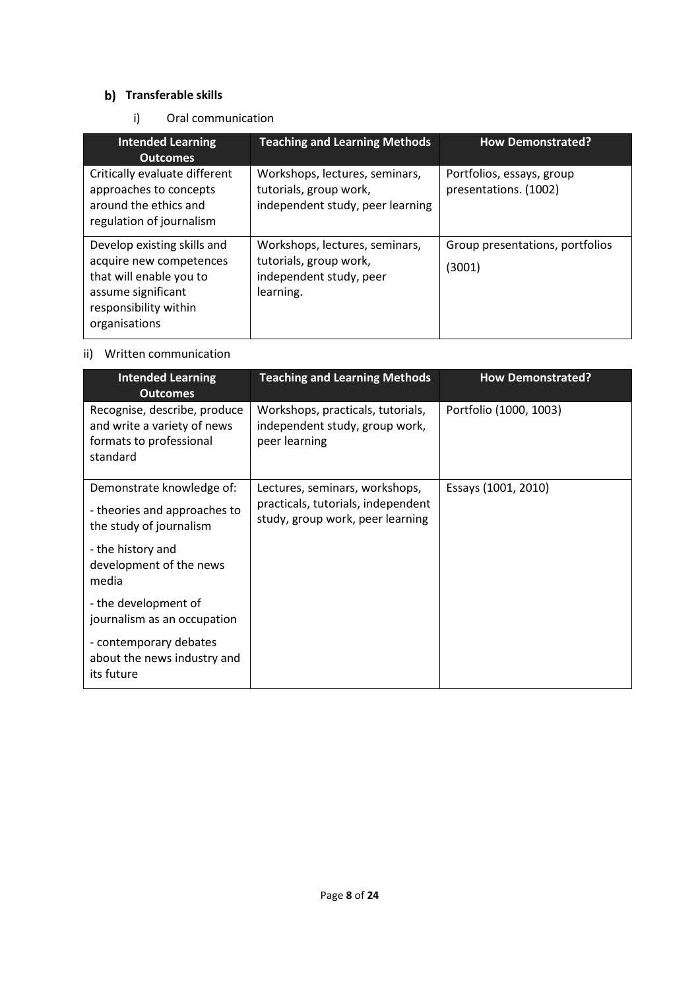## **b)** Transferable skills

## i) Oral communication

| <b>Intended Learning</b><br><b>Outcomes</b>                                                                                                       | <b>Teaching and Learning Methods</b>                                                             | <b>How Demonstrated?</b>                           |
|---------------------------------------------------------------------------------------------------------------------------------------------------|--------------------------------------------------------------------------------------------------|----------------------------------------------------|
| Critically evaluate different<br>approaches to concepts<br>around the ethics and<br>regulation of journalism                                      | Workshops, lectures, seminars,<br>tutorials, group work,<br>independent study, peer learning     | Portfolios, essays, group<br>presentations. (1002) |
| Develop existing skills and<br>acquire new competences<br>that will enable you to<br>assume significant<br>responsibility within<br>organisations | Workshops, lectures, seminars,<br>tutorials, group work,<br>independent study, peer<br>learning. | Group presentations, portfolios<br>(3001)          |

# ii) Written communication

| <b>Intended Learning</b><br><b>Outcomes</b>                                                        | <b>Teaching and Learning Methods</b>                                                 | <b>How Demonstrated?</b> |
|----------------------------------------------------------------------------------------------------|--------------------------------------------------------------------------------------|--------------------------|
| Recognise, describe, produce<br>and write a variety of news<br>formats to professional<br>standard | Workshops, practicals, tutorials,<br>independent study, group work,<br>peer learning | Portfolio (1000, 1003)   |
| Demonstrate knowledge of:                                                                          | Lectures, seminars, workshops,                                                       | Essays (1001, 2010)      |
| - theories and approaches to<br>the study of journalism                                            | practicals, tutorials, independent<br>study, group work, peer learning               |                          |
| - the history and<br>development of the news<br>media                                              |                                                                                      |                          |
| - the development of<br>journalism as an occupation                                                |                                                                                      |                          |
| - contemporary debates<br>about the news industry and<br>its future                                |                                                                                      |                          |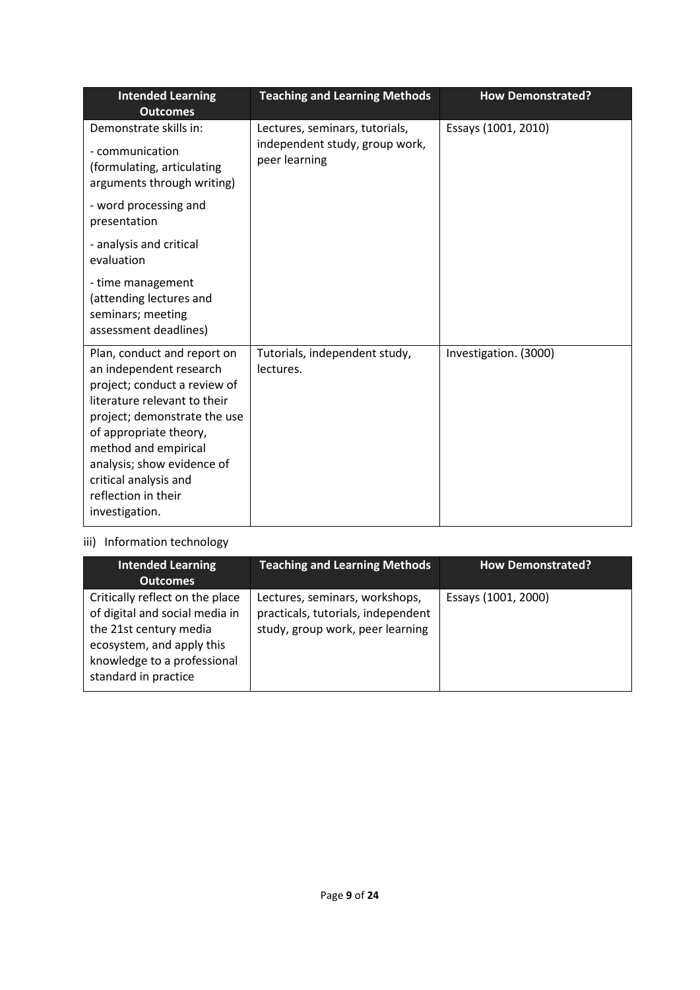| <b>Intended Learning</b><br><b>Outcomes</b>                                                                                                                                                                                                                                                              | <b>Teaching and Learning Methods</b>                             | <b>How Demonstrated?</b> |
|----------------------------------------------------------------------------------------------------------------------------------------------------------------------------------------------------------------------------------------------------------------------------------------------------------|------------------------------------------------------------------|--------------------------|
| Demonstrate skills in:                                                                                                                                                                                                                                                                                   | Lectures, seminars, tutorials,<br>independent study, group work, | Essays (1001, 2010)      |
| - communication<br>(formulating, articulating<br>arguments through writing)                                                                                                                                                                                                                              | peer learning                                                    |                          |
| - word processing and<br>presentation                                                                                                                                                                                                                                                                    |                                                                  |                          |
| - analysis and critical<br>evaluation                                                                                                                                                                                                                                                                    |                                                                  |                          |
| - time management<br>(attending lectures and<br>seminars; meeting<br>assessment deadlines)                                                                                                                                                                                                               |                                                                  |                          |
| Plan, conduct and report on<br>an independent research<br>project; conduct a review of<br>literature relevant to their<br>project; demonstrate the use<br>of appropriate theory,<br>method and empirical<br>analysis; show evidence of<br>critical analysis and<br>reflection in their<br>investigation. | Tutorials, independent study,<br>lectures.                       | Investigation. (3000)    |

# iii) Information technology

| <b>Intended Learning</b><br><b>Outcomes</b>                                                                                                                                     | <b>Teaching and Learning Methods</b>                                                                     | <b>How Demonstrated?</b> |
|---------------------------------------------------------------------------------------------------------------------------------------------------------------------------------|----------------------------------------------------------------------------------------------------------|--------------------------|
| Critically reflect on the place<br>of digital and social media in<br>the 21st century media<br>ecosystem, and apply this<br>knowledge to a professional<br>standard in practice | Lectures, seminars, workshops,<br>practicals, tutorials, independent<br>study, group work, peer learning | Essays (1001, 2000)      |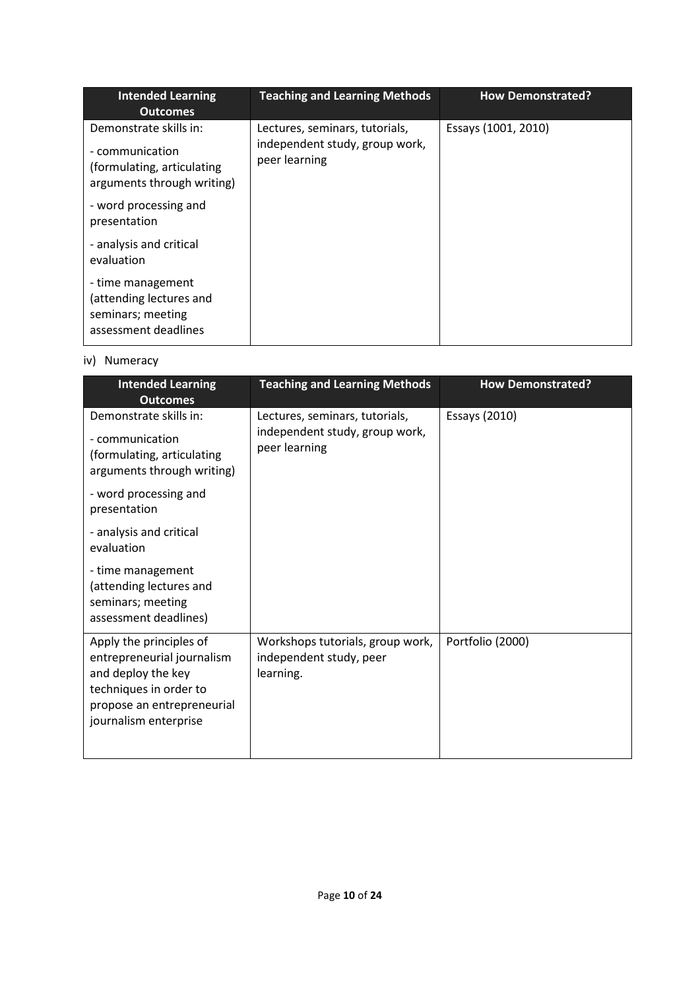| <b>Intended Learning</b><br><b>Outcomes</b>                                                           | <b>Teaching and Learning Methods</b>                                              | <b>How Demonstrated?</b> |
|-------------------------------------------------------------------------------------------------------|-----------------------------------------------------------------------------------|--------------------------|
| Demonstrate skills in:<br>- communication<br>(formulating, articulating<br>arguments through writing) | Lectures, seminars, tutorials,<br>independent study, group work,<br>peer learning | Essays (1001, 2010)      |
| - word processing and<br>presentation                                                                 |                                                                                   |                          |
| - analysis and critical<br>evaluation                                                                 |                                                                                   |                          |
| - time management<br>(attending lectures and<br>seminars; meeting<br>assessment deadlines             |                                                                                   |                          |

# iv) Numeracy

| <b>Intended Learning</b><br><b>Outcomes</b>                                                                                                                  | <b>Teaching and Learning Methods</b>                                              | <b>How Demonstrated?</b> |
|--------------------------------------------------------------------------------------------------------------------------------------------------------------|-----------------------------------------------------------------------------------|--------------------------|
| Demonstrate skills in:<br>- communication<br>(formulating, articulating<br>arguments through writing)                                                        | Lectures, seminars, tutorials,<br>independent study, group work,<br>peer learning | Essays (2010)            |
| - word processing and<br>presentation                                                                                                                        |                                                                                   |                          |
| - analysis and critical<br>evaluation                                                                                                                        |                                                                                   |                          |
| - time management<br>(attending lectures and<br>seminars; meeting<br>assessment deadlines)                                                                   |                                                                                   |                          |
| Apply the principles of<br>entrepreneurial journalism<br>and deploy the key<br>techniques in order to<br>propose an entrepreneurial<br>journalism enterprise | Workshops tutorials, group work,<br>independent study, peer<br>learning.          | Portfolio (2000)         |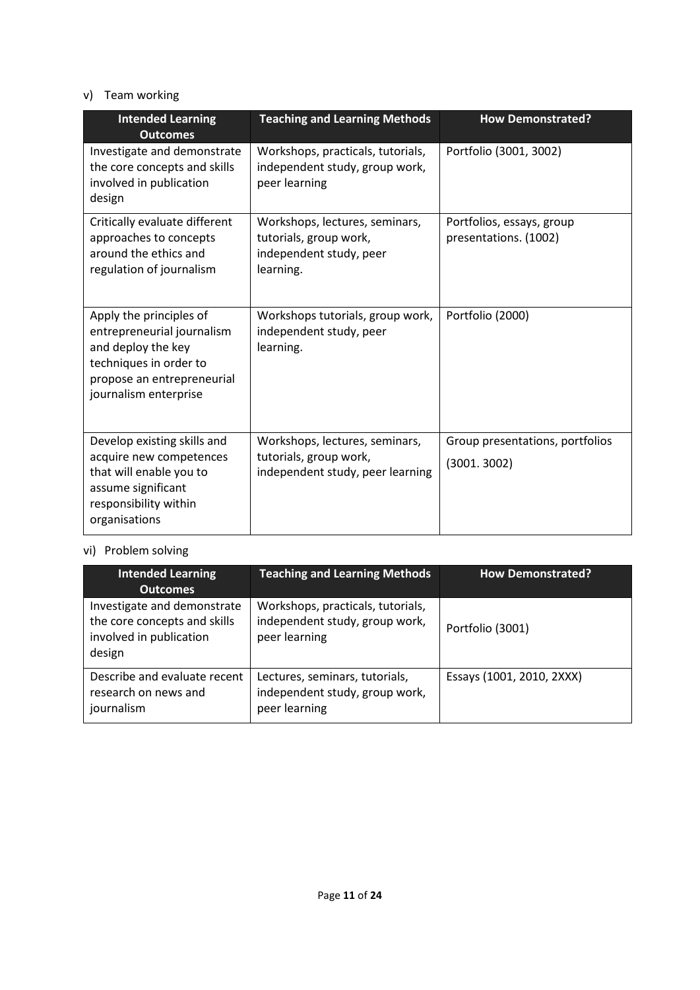## v) Team working

| <b>Intended Learning</b><br><b>Outcomes</b>                                                                                                                  | <b>Teaching and Learning Methods</b>                                                             | <b>How Demonstrated?</b>                           |  |
|--------------------------------------------------------------------------------------------------------------------------------------------------------------|--------------------------------------------------------------------------------------------------|----------------------------------------------------|--|
| Investigate and demonstrate<br>the core concepts and skills<br>involved in publication<br>design                                                             | Workshops, practicals, tutorials,<br>independent study, group work,<br>peer learning             | Portfolio (3001, 3002)                             |  |
| Critically evaluate different<br>approaches to concepts<br>around the ethics and<br>regulation of journalism                                                 | Workshops, lectures, seminars,<br>tutorials, group work,<br>independent study, peer<br>learning. | Portfolios, essays, group<br>presentations. (1002) |  |
| Apply the principles of<br>entrepreneurial journalism<br>and deploy the key<br>techniques in order to<br>propose an entrepreneurial<br>journalism enterprise | Workshops tutorials, group work,<br>independent study, peer<br>learning.                         | Portfolio (2000)                                   |  |
| Develop existing skills and<br>acquire new competences<br>that will enable you to<br>assume significant<br>responsibility within<br>organisations            | Workshops, lectures, seminars,<br>tutorials, group work,<br>independent study, peer learning     | Group presentations, portfolios<br>(3001.3002)     |  |

# vi) Problem solving

| <b>Intended Learning</b><br><b>Outcomes</b>                                                      | <b>Teaching and Learning Methods</b>                                                 | <b>How Demonstrated?</b>  |
|--------------------------------------------------------------------------------------------------|--------------------------------------------------------------------------------------|---------------------------|
| Investigate and demonstrate<br>the core concepts and skills<br>involved in publication<br>design | Workshops, practicals, tutorials,<br>independent study, group work,<br>peer learning | Portfolio (3001)          |
| Describe and evaluate recent<br>research on news and<br>journalism                               | Lectures, seminars, tutorials,<br>independent study, group work,<br>peer learning    | Essays (1001, 2010, 2XXX) |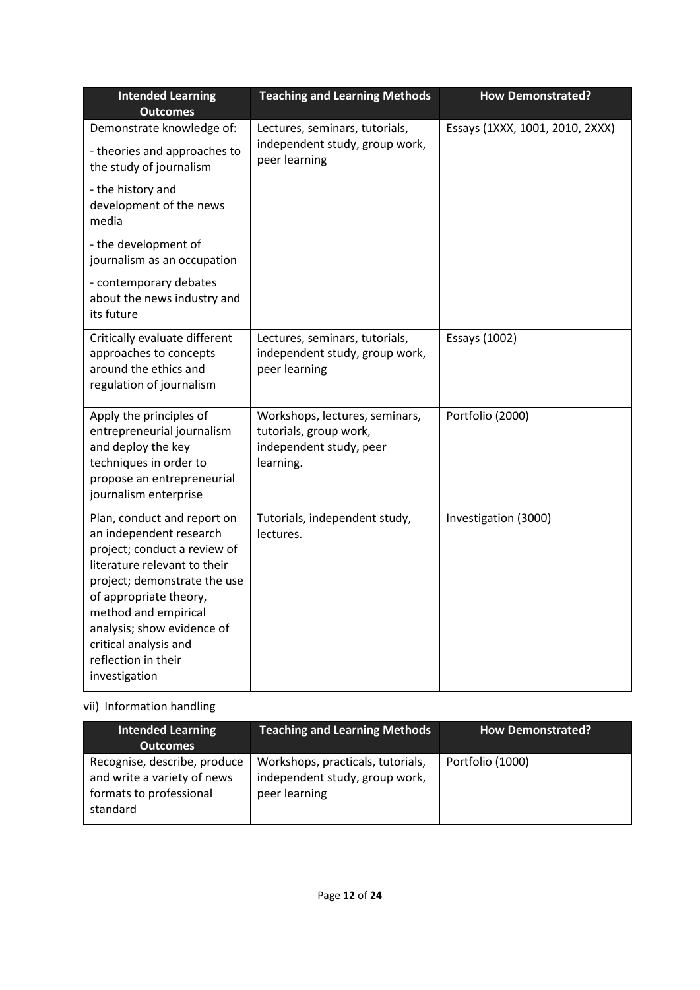| <b>Intended Learning</b><br><b>Outcomes</b>                                                                                                                                                                                                                                                             | <b>Teaching and Learning Methods</b>                                                             | <b>How Demonstrated?</b>        |
|---------------------------------------------------------------------------------------------------------------------------------------------------------------------------------------------------------------------------------------------------------------------------------------------------------|--------------------------------------------------------------------------------------------------|---------------------------------|
| Demonstrate knowledge of:                                                                                                                                                                                                                                                                               | Lectures, seminars, tutorials,                                                                   | Essays (1XXX, 1001, 2010, 2XXX) |
| - theories and approaches to<br>the study of journalism                                                                                                                                                                                                                                                 | independent study, group work,<br>peer learning                                                  |                                 |
| - the history and<br>development of the news<br>media                                                                                                                                                                                                                                                   |                                                                                                  |                                 |
| - the development of<br>journalism as an occupation                                                                                                                                                                                                                                                     |                                                                                                  |                                 |
| - contemporary debates<br>about the news industry and<br>its future                                                                                                                                                                                                                                     |                                                                                                  |                                 |
| Critically evaluate different<br>approaches to concepts<br>around the ethics and<br>regulation of journalism                                                                                                                                                                                            | Lectures, seminars, tutorials,<br>independent study, group work,<br>peer learning                | Essays (1002)                   |
| Apply the principles of<br>entrepreneurial journalism<br>and deploy the key<br>techniques in order to<br>propose an entrepreneurial<br>journalism enterprise                                                                                                                                            | Workshops, lectures, seminars,<br>tutorials, group work,<br>independent study, peer<br>learning. | Portfolio (2000)                |
| Plan, conduct and report on<br>an independent research<br>project; conduct a review of<br>literature relevant to their<br>project; demonstrate the use<br>of appropriate theory,<br>method and empirical<br>analysis; show evidence of<br>critical analysis and<br>reflection in their<br>investigation | Tutorials, independent study,<br>lectures.                                                       | Investigation (3000)            |

# vii) Information handling

| Intended Learning<br><b>Outcomes</b>                                                               | <b>Teaching and Learning Methods</b>                                                 | <b>How Demonstrated?</b> |
|----------------------------------------------------------------------------------------------------|--------------------------------------------------------------------------------------|--------------------------|
| Recognise, describe, produce<br>and write a variety of news<br>formats to professional<br>standard | Workshops, practicals, tutorials,<br>independent study, group work,<br>peer learning | Portfolio (1000)         |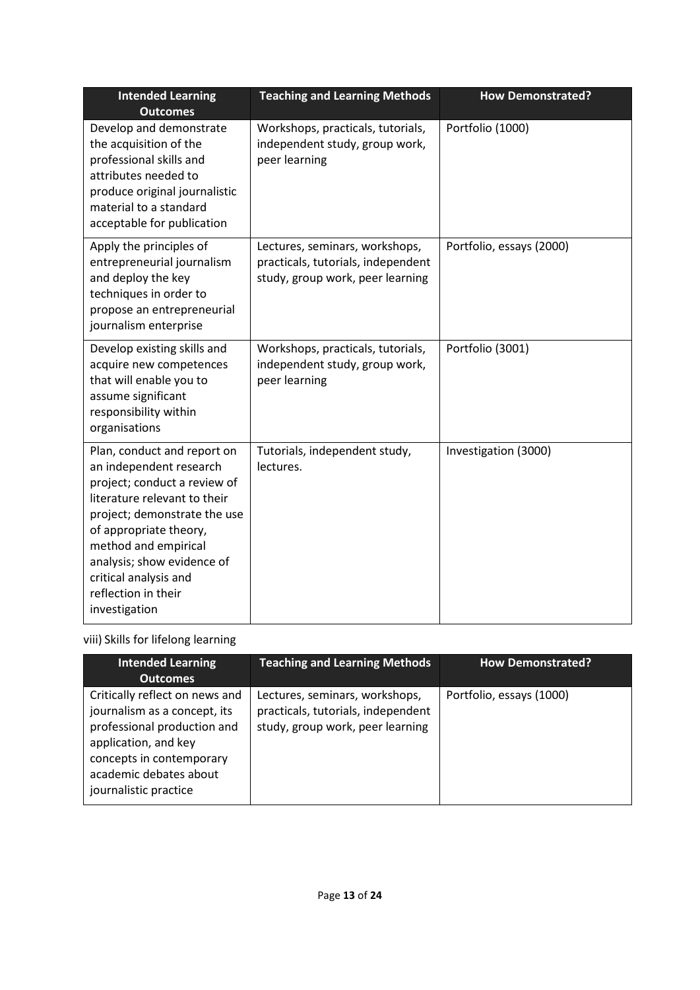| <b>Intended Learning</b><br><b>Outcomes</b>                                                                                                                                                                                                                                                             | <b>Teaching and Learning Methods</b><br><b>How Demonstrated?</b>                                         |                          |
|---------------------------------------------------------------------------------------------------------------------------------------------------------------------------------------------------------------------------------------------------------------------------------------------------------|----------------------------------------------------------------------------------------------------------|--------------------------|
| Develop and demonstrate<br>the acquisition of the<br>professional skills and<br>attributes needed to<br>produce original journalistic<br>material to a standard<br>acceptable for publication                                                                                                           | Workshops, practicals, tutorials,<br>independent study, group work,<br>peer learning                     | Portfolio (1000)         |
| Apply the principles of<br>entrepreneurial journalism<br>and deploy the key<br>techniques in order to<br>propose an entrepreneurial<br>journalism enterprise                                                                                                                                            | Lectures, seminars, workshops,<br>practicals, tutorials, independent<br>study, group work, peer learning | Portfolio, essays (2000) |
| Develop existing skills and<br>acquire new competences<br>that will enable you to<br>assume significant<br>responsibility within<br>organisations                                                                                                                                                       | Workshops, practicals, tutorials,<br>independent study, group work,<br>peer learning                     | Portfolio (3001)         |
| Plan, conduct and report on<br>an independent research<br>project; conduct a review of<br>literature relevant to their<br>project; demonstrate the use<br>of appropriate theory,<br>method and empirical<br>analysis; show evidence of<br>critical analysis and<br>reflection in their<br>investigation | Tutorials, independent study,<br>lectures.                                                               | Investigation (3000)     |

# viii) Skills for lifelong learning

| <b>Intended Learning</b><br><b>Outcomes</b>                                                                                                                                                          | <b>Teaching and Learning Methods</b>                                                                     | <b>How Demonstrated?</b> |
|------------------------------------------------------------------------------------------------------------------------------------------------------------------------------------------------------|----------------------------------------------------------------------------------------------------------|--------------------------|
| Critically reflect on news and<br>journalism as a concept, its<br>professional production and<br>application, and key<br>concepts in contemporary<br>academic debates about<br>journalistic practice | Lectures, seminars, workshops,<br>practicals, tutorials, independent<br>study, group work, peer learning | Portfolio, essays (1000) |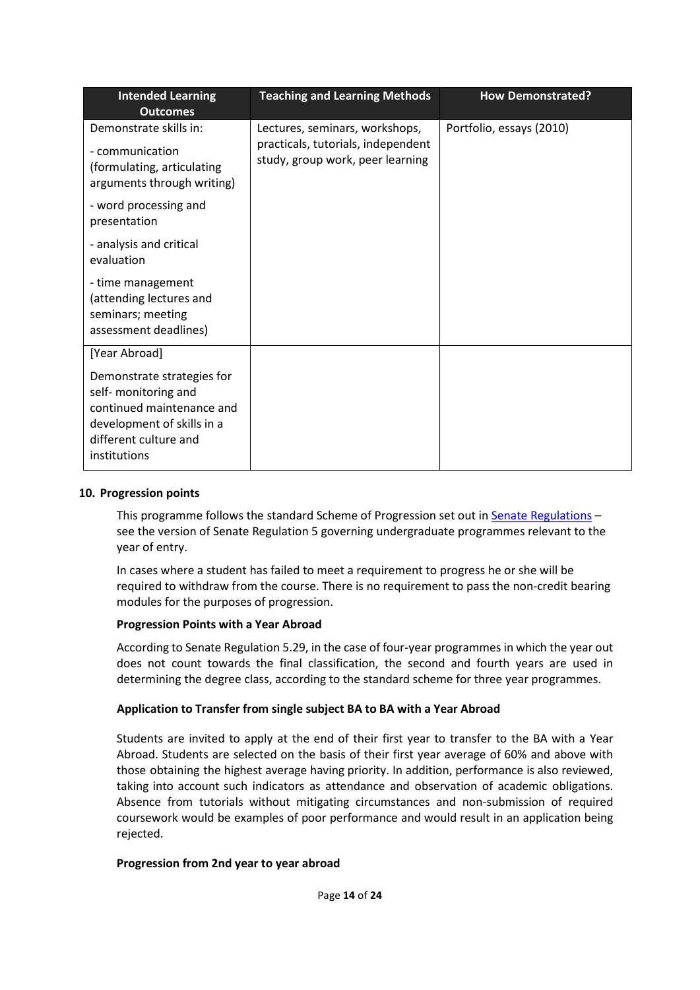| <b>Intended Learning</b><br><b>Outcomes</b>                                                                                                            | <b>Teaching and Learning Methods</b>                                                                     | <b>How Demonstrated?</b> |
|--------------------------------------------------------------------------------------------------------------------------------------------------------|----------------------------------------------------------------------------------------------------------|--------------------------|
| Demonstrate skills in:<br>- communication<br>(formulating, articulating<br>arguments through writing)                                                  | Lectures, seminars, workshops,<br>practicals, tutorials, independent<br>study, group work, peer learning | Portfolio, essays (2010) |
| - word processing and<br>presentation                                                                                                                  |                                                                                                          |                          |
| - analysis and critical<br>evaluation                                                                                                                  |                                                                                                          |                          |
| - time management<br>(attending lectures and<br>seminars; meeting<br>assessment deadlines)                                                             |                                                                                                          |                          |
| [Year Abroad]                                                                                                                                          |                                                                                                          |                          |
| Demonstrate strategies for<br>self- monitoring and<br>continued maintenance and<br>development of skills in a<br>different culture and<br>institutions |                                                                                                          |                          |

#### **10. Progression points**

This programme follows the standard Scheme of Progression set out in [Senate Regulations](http://www.le.ac.uk/senate-regulations) – see the version of Senate Regulation 5 governing undergraduate programmes relevant to the year of entry.

In cases where a student has failed to meet a requirement to progress he or she will be required to withdraw from the course. There is no requirement to pass the non-credit bearing modules for the purposes of progression.

### **Progression Points with a Year Abroad**

According to Senate Regulation 5.29, in the case of four-year programmes in which the year out does not count towards the final classification, the second and fourth years are used in determining the degree class, according to the standard scheme for three year programmes.

#### **Application to Transfer from single subject BA to BA with a Year Abroad**

Students are invited to apply at the end of their first year to transfer to the BA with a Year Abroad. Students are selected on the basis of their first year average of 60% and above with those obtaining the highest average having priority. In addition, performance is also reviewed, taking into account such indicators as attendance and observation of academic obligations. Absence from tutorials without mitigating circumstances and non-submission of required coursework would be examples of poor performance and would result in an application being rejected.

#### **Progression from 2nd year to year abroad**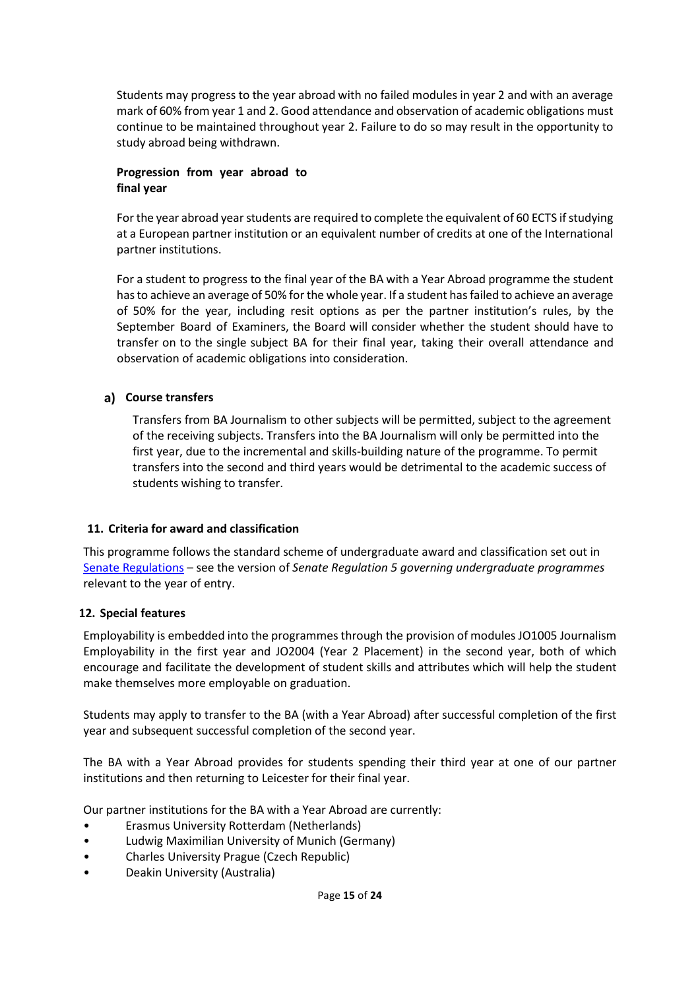Students may progress to the year abroad with no failed modules in year 2 and with an average mark of 60% from year 1 and 2. Good attendance and observation of academic obligations must continue to be maintained throughout year 2. Failure to do so may result in the opportunity to study abroad being withdrawn.

### **Progression from year abroad to final year**

For the year abroad year students are required to complete the equivalent of 60 ECTS if studying at a European partner institution or an equivalent number of credits at one of the International partner institutions.

For a student to progress to the final year of the BA with a Year Abroad programme the student hasto achieve an average of 50% for the whole year. If a student has failed to achieve an average of 50% for the year, including resit options as per the partner institution's rules, by the September Board of Examiners, the Board will consider whether the student should have to transfer on to the single subject BA for their final year, taking their overall attendance and observation of academic obligations into consideration.

## **Course transfers**

Transfers from BA Journalism to other subjects will be permitted, subject to the agreement of the receiving subjects. Transfers into the BA Journalism will only be permitted into the first year, due to the incremental and skills-building nature of the programme. To permit transfers into the second and third years would be detrimental to the academic success of students wishing to transfer.

### **11. Criteria for award and classification**

This programme follows the standard scheme of undergraduate award and classification set out in [Senate Regulations](http://www.le.ac.uk/senate-regulations) – see the version of *Senate Regulation 5 governing undergraduate programmes* relevant to the year of entry.

### **12. Special features**

Employability is embedded into the programmes through the provision of modules JO1005 Journalism Employability in the first year and JO2004 (Year 2 Placement) in the second year, both of which encourage and facilitate the development of student skills and attributes which will help the student make themselves more employable on graduation.

Students may apply to transfer to the BA (with a Year Abroad) after successful completion of the first year and subsequent successful completion of the second year.

The BA with a Year Abroad provides for students spending their third year at one of our partner institutions and then returning to Leicester for their final year.

Our partner institutions for the BA with a Year Abroad are currently:

- Erasmus University Rotterdam (Netherlands)
- Ludwig Maximilian University of Munich (Germany)
- Charles University Prague (Czech Republic)
- Deakin University (Australia)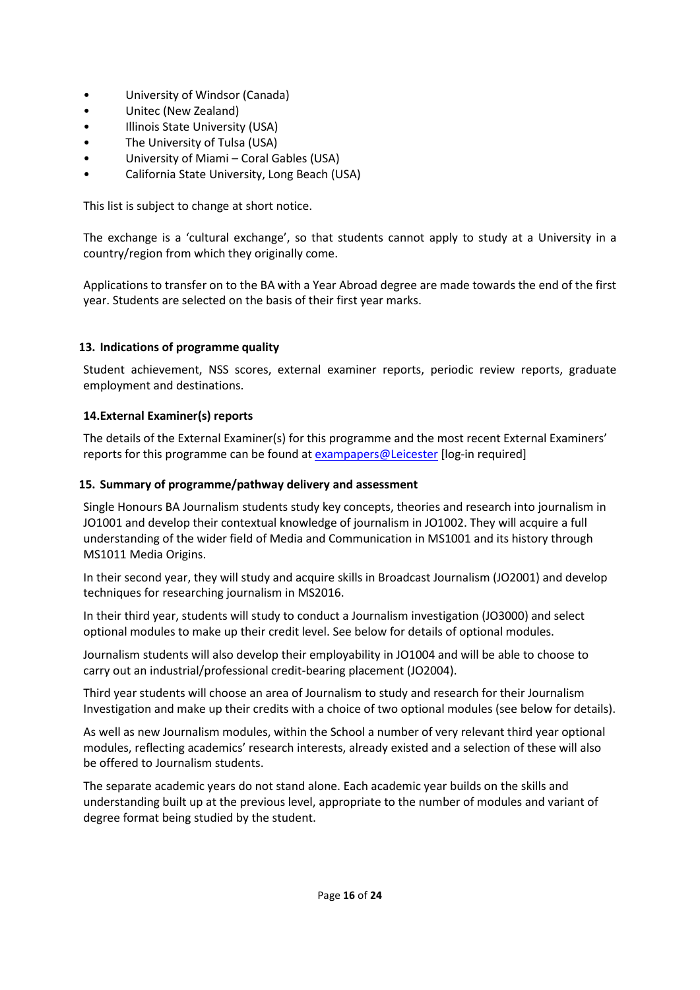- University of Windsor (Canada)
- Unitec (New Zealand)
- Illinois State University (USA)
- The University of Tulsa (USA)
- University of Miami Coral Gables (USA)
- California State University, Long Beach (USA)

This list is subject to change at short notice.

The exchange is a 'cultural exchange', so that students cannot apply to study at a University in a country/region from which they originally come.

Applications to transfer on to the BA with a Year Abroad degree are made towards the end of the first year. Students are selected on the basis of their first year marks.

## **13. Indications of programme quality**

Student achievement, NSS scores, external examiner reports, periodic review reports, graduate employment and destinations.

## **14.External Examiner(s) reports**

The details of the External Examiner(s) for this programme and the most recent External Examiners' reports for this programme can be found at [exampapers@Leicester](https://exampapers.le.ac.uk/) [log-in required]

## **15. Summary of programme/pathway delivery and assessment**

Single Honours BA Journalism students study key concepts, theories and research into journalism in JO1001 and develop their contextual knowledge of journalism in JO1002. They will acquire a full understanding of the wider field of Media and Communication in MS1001 and its history through MS1011 Media Origins.

In their second year, they will study and acquire skills in Broadcast Journalism (JO2001) and develop techniques for researching journalism in MS2016.

In their third year, students will study to conduct a Journalism investigation (JO3000) and select optional modules to make up their credit level. See below for details of optional modules.

Journalism students will also develop their employability in JO1004 and will be able to choose to carry out an industrial/professional credit-bearing placement (JO2004).

Third year students will choose an area of Journalism to study and research for their Journalism Investigation and make up their credits with a choice of two optional modules (see below for details).

As well as new Journalism modules, within the School a number of very relevant third year optional modules, reflecting academics' research interests, already existed and a selection of these will also be offered to Journalism students.

The separate academic years do not stand alone. Each academic year builds on the skills and understanding built up at the previous level, appropriate to the number of modules and variant of degree format being studied by the student.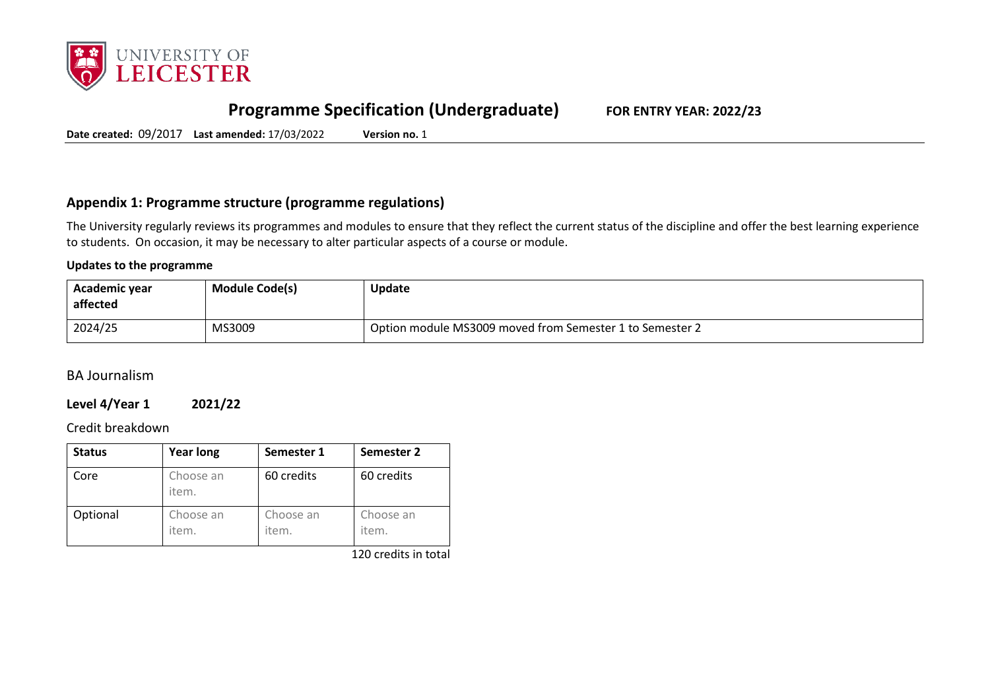

# **Programme Specification (Undergraduate) FOR ENTRY YEAR: 2022/23**

**Date created:** 09/2017 **Last amended:** 17/03/2022 **Version no.** 1

## **Appendix 1: Programme structure (programme regulations)**

The University regularly reviews its programmes and modules to ensure that they reflect the current status of the discipline and offer the best learning experience to students. On occasion, it may be necessary to alter particular aspects of a course or module.

#### **Updates to the programme**

| Academic year<br>affected | <b>Module Code(s)</b> | <b>Update</b>                                            |
|---------------------------|-----------------------|----------------------------------------------------------|
| 2024/25                   | MS3009                | Option module MS3009 moved from Semester 1 to Semester 2 |

BA Journalism

## **Level 4/Year 1 2021/22**

### Credit breakdown

| <b>Status</b> | <b>Year long</b>   | Semester 1         | Semester 2         |
|---------------|--------------------|--------------------|--------------------|
| Core          | Choose an<br>item. | 60 credits         | 60 credits         |
| Optional      | Choose an<br>item. | Choose an<br>item. | Choose an<br>item. |

120 credits in total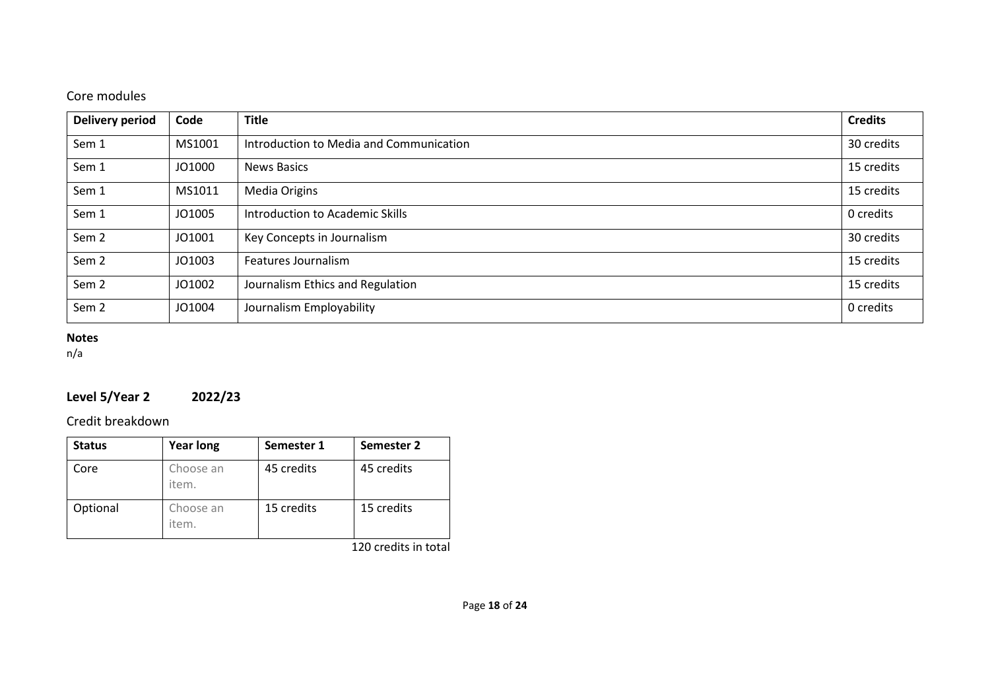# Core modules

| <b>Delivery period</b> | Code   | <b>Title</b>                            | <b>Credits</b> |
|------------------------|--------|-----------------------------------------|----------------|
| Sem 1                  | MS1001 | Introduction to Media and Communication | 30 credits     |
| Sem 1                  | JO1000 | News Basics                             | 15 credits     |
| Sem 1                  | MS1011 | Media Origins                           | 15 credits     |
| Sem 1                  | JO1005 | Introduction to Academic Skills         | 0 credits      |
| Sem <sub>2</sub>       | JO1001 | Key Concepts in Journalism              | 30 credits     |
| Sem <sub>2</sub>       | JO1003 | Features Journalism                     | 15 credits     |
| Sem <sub>2</sub>       | JO1002 | Journalism Ethics and Regulation        | 15 credits     |
| Sem <sub>2</sub>       | JO1004 | Journalism Employability                | 0 credits      |

# **Notes**

n/a

# **Level 5/Year 2 2022/23**

# Credit breakdown

| <b>Status</b> | <b>Year long</b>   | Semester 1 | Semester 2 |
|---------------|--------------------|------------|------------|
| Core          | Choose an<br>item. | 45 credits | 45 credits |
| Optional      | Choose an<br>item. | 15 credits | 15 credits |

120 credits in total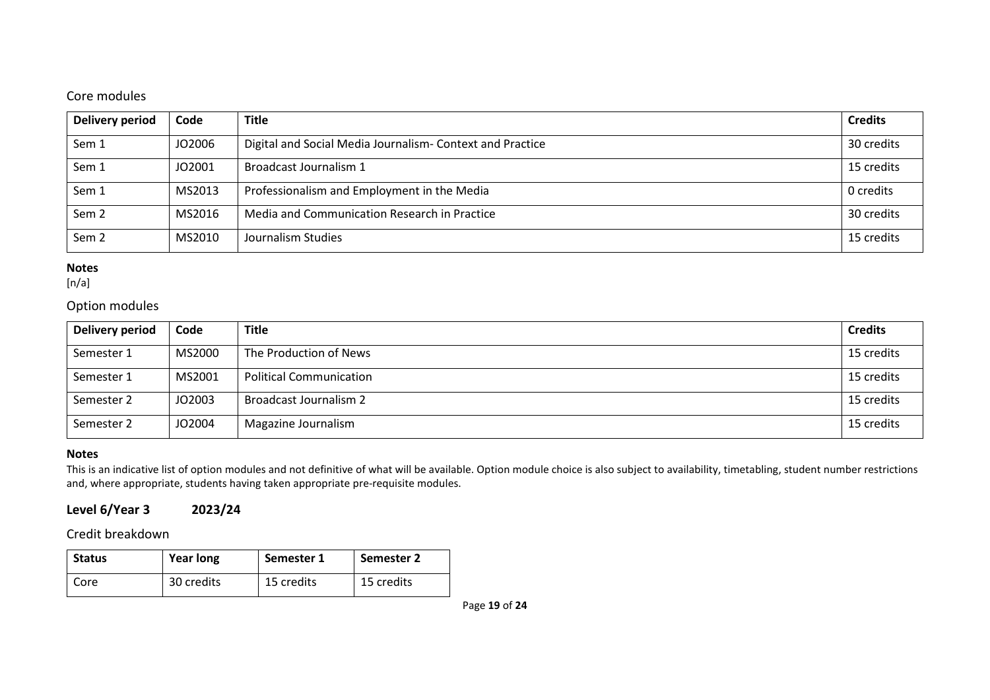## Core modules

| Delivery period  | Code   | <b>Title</b>                                              | <b>Credits</b> |
|------------------|--------|-----------------------------------------------------------|----------------|
| Sem 1            | JO2006 | Digital and Social Media Journalism- Context and Practice | 30 credits     |
| Sem 1            | JO2001 | Broadcast Journalism 1                                    | 15 credits     |
| Sem 1            | MS2013 | Professionalism and Employment in the Media               | 0 credits      |
| Sem <sub>2</sub> | MS2016 | Media and Communication Research in Practice              | 30 credits     |
| Sem <sub>2</sub> | MS2010 | Journalism Studies                                        | 15 credits     |

### **Notes**

 $[n/a]$ 

# Option modules

| <b>Delivery period</b> | Code   | <b>Title</b>                   | <b>Credits</b> |
|------------------------|--------|--------------------------------|----------------|
| Semester 1             | MS2000 | The Production of News         | 15 credits     |
| Semester 1             | MS2001 | <b>Political Communication</b> | 15 credits     |
| Semester 2             | JO2003 | Broadcast Journalism 2         | 15 credits     |
| Semester 2             | JO2004 | Magazine Journalism            | 15 credits     |

### **Notes**

This is an indicative list of option modules and not definitive of what will be available. Option module choice is also subject to availability, timetabling, student number restrictions and, where appropriate, students having taken appropriate pre-requisite modules.

# **Level 6/Year 3 2023/24**

Credit breakdown

| <b>Status</b> | <b>Year long</b> | Semester 1 | <b>Semester 2</b> |
|---------------|------------------|------------|-------------------|
| Core          | 30 credits       | 15 credits | 15 credits        |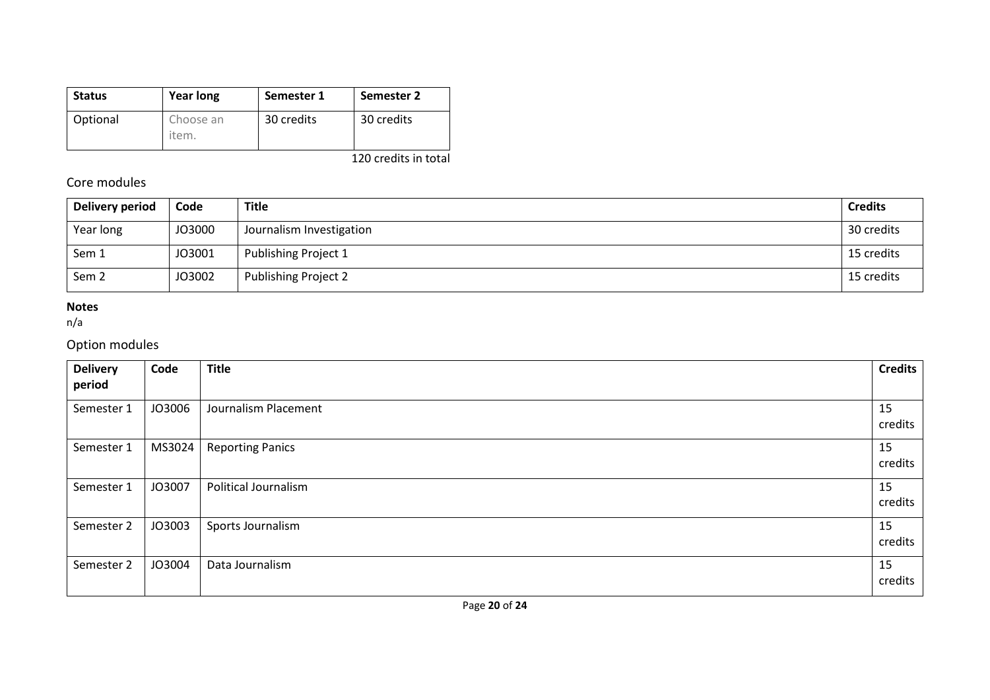| <b>Status</b> | Year long          | Semester 1 | Semester 2 |
|---------------|--------------------|------------|------------|
| Optional      | Choose an<br>item. | 30 credits | 30 credits |

120 credits in total

# Core modules

| Delivery period  | Code   | <b>Title</b>                | <b>Credits</b> |
|------------------|--------|-----------------------------|----------------|
| Year long        | JO3000 | Journalism Investigation    | 30 credits     |
| Sem 1            | JO3001 | Publishing Project 1        | 15 credits     |
| Sem <sub>2</sub> | JO3002 | <b>Publishing Project 2</b> | 15 credits     |

## **Notes**

n/a

# Option modules

| <b>Delivery</b><br>period | Code   | <b>Title</b>                | <b>Credits</b> |
|---------------------------|--------|-----------------------------|----------------|
| Semester 1                | JO3006 | Journalism Placement        | 15<br>credits  |
| Semester 1                | MS3024 | <b>Reporting Panics</b>     | 15<br>credits  |
| Semester 1                | JO3007 | <b>Political Journalism</b> | 15<br>credits  |
| Semester 2                | JO3003 | Sports Journalism           | 15<br>credits  |
| Semester 2                | JO3004 | Data Journalism             | 15<br>credits  |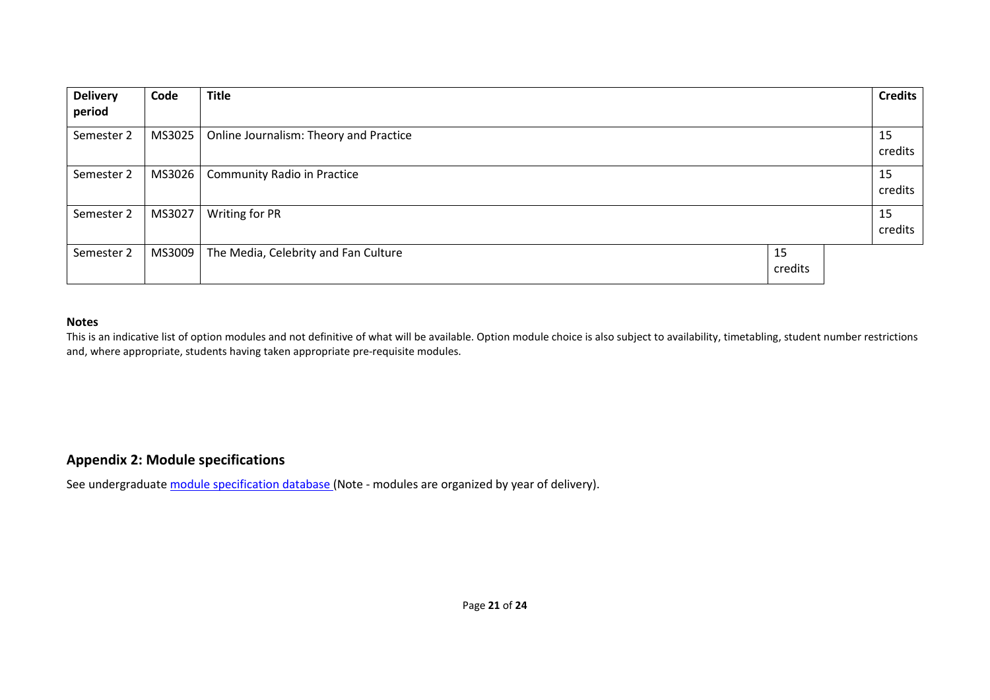| <b>Delivery</b> | Code   | <b>Title</b>                           |         | <b>Credits</b> |
|-----------------|--------|----------------------------------------|---------|----------------|
| period          |        |                                        |         |                |
| Semester 2      | MS3025 | Online Journalism: Theory and Practice |         | 15             |
|                 |        |                                        |         | credits        |
| Semester 2      | MS3026 | <b>Community Radio in Practice</b>     |         | 15             |
|                 |        |                                        |         | credits        |
| Semester 2      | MS3027 | Writing for PR                         |         | 15             |
|                 |        |                                        |         | credits        |
| Semester 2      | MS3009 | The Media, Celebrity and Fan Culture   | 15      |                |
|                 |        |                                        | credits |                |

#### **Notes**

This is an indicative list of option modules and not definitive of what will be available. Option module choice is also subject to availability, timetabling, student number restrictions and, where appropriate, students having taken appropriate pre-requisite modules.

## **Appendix 2: Module specifications**

See undergraduat[e module specification database](http://www.le.ac.uk/sas/courses/documentation) (Note - modules are organized by year of delivery).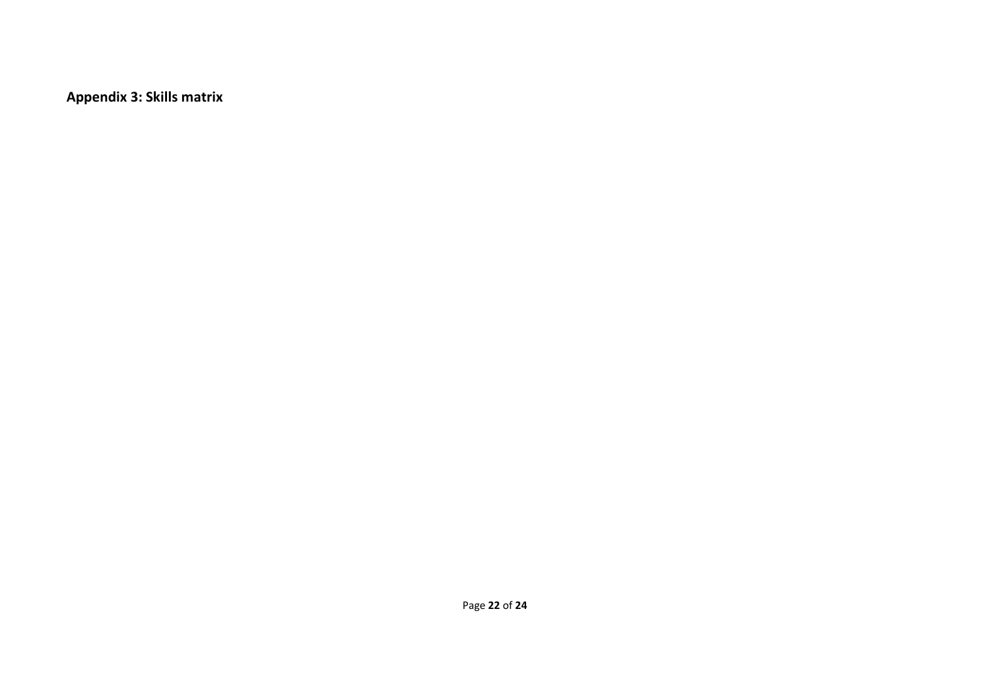**Appendix 3: Skills matrix**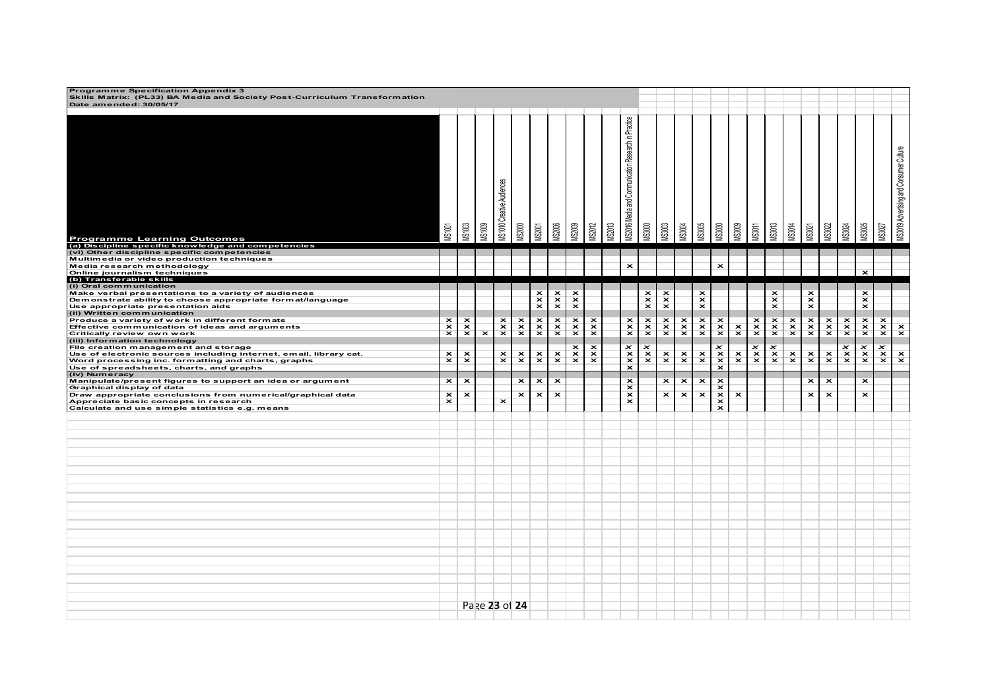| Programme Specification Appendix 3<br>Skills Matrix: (PL33) BA Media and Society Post-Curriculum Transformation<br>Date amended: 30/05/17                                           |                                           |                         |                         |                                  |                         |                           |                         |                                                         |                                 |               |                                                     |               |                                                                                 |                         |                                                         |                                 |                                 |               |                                                  |               |                                         |                         |               |                                                  |                                 |                                         |
|-------------------------------------------------------------------------------------------------------------------------------------------------------------------------------------|-------------------------------------------|-------------------------|-------------------------|----------------------------------|-------------------------|---------------------------|-------------------------|---------------------------------------------------------|---------------------------------|---------------|-----------------------------------------------------|---------------|---------------------------------------------------------------------------------|-------------------------|---------------------------------------------------------|---------------------------------|---------------------------------|---------------|--------------------------------------------------|---------------|-----------------------------------------|-------------------------|---------------|--------------------------------------------------|---------------------------------|-----------------------------------------|
| <b>Programme Learning Outcomes</b><br>(a) Discipline specific knowledge and competencies                                                                                            | <b>MS1001</b>                             | <b>MS1003</b>           | <b>MS1009</b>           | <b>MS1010 Creative Audiences</b> | <b>IS2000</b>           | VIS2001                   | <b>AS2006</b>           | <b>AS2009</b>                                           | <b>VIS2012</b>                  | <b>AS2013</b> | MS2016 Media and Communication Research in Practice | <b>AS3000</b> | VIS3003                                                                         | <b>AS3004</b>           | <b>AS3005</b>                                           | <b>AS3030</b>                   | /S3009                          | VISSOT        | <b>AS3013</b>                                    | <b>AS3014</b> | VIS3021                                 | <b>ISS022</b>           | <b>MS3024</b> | <b>MS3025</b>                                    | <b>MS3027</b>                   | MS3019 Advertising and Consumer Culture |
| (vi) Other discipline specific competencies<br>Multimedia or video production techniques                                                                                            |                                           |                         |                         |                                  |                         |                           |                         |                                                         |                                 |               |                                                     |               |                                                                                 |                         |                                                         |                                 |                                 |               |                                                  |               |                                         |                         |               |                                                  |                                 |                                         |
| Media research methodology<br>Online journalism techniques                                                                                                                          |                                           |                         |                         |                                  |                         |                           |                         |                                                         |                                 |               | $\overline{\mathbf{x}}$                             |               |                                                                                 |                         |                                                         | $\overline{\mathbf{x}}$         |                                 |               |                                                  |               |                                         |                         |               | $\mathbf x$                                      |                                 |                                         |
| (b) Transferable skills<br>(i) Oral communication                                                                                                                                   |                                           |                         |                         |                                  |                         |                           |                         |                                                         |                                 |               |                                                     |               |                                                                                 |                         |                                                         |                                 |                                 |               |                                                  |               |                                         |                         |               |                                                  |                                 |                                         |
| Make verbal presentations to a variety of audiences<br>Demonstrate ability to choose appropriate format/language<br>Use appropriate presentation aids<br>(ii) Written communication |                                           |                         |                         |                                  |                         | $\frac{x}{x}$             | $x \times$              | ×<br>$\overline{\mathbf{x}}$<br>$\overline{\mathbf{x}}$ |                                 |               |                                                     | $\frac{x}{x}$ | $\boldsymbol{\mathsf{x}}$<br>$\overline{\mathbf{x}}$<br>$\overline{\mathbf{x}}$ |                         | ×<br>$\overline{\mathbf{x}}$<br>$\overline{\mathbf{x}}$ |                                 |                                 |               | $\mathbf{x}^{\times}$<br>$\overline{\mathbf{x}}$ |               | $\mathbf{x}$<br>$\overline{\mathbf{x}}$ |                         |               | $\mathbf{x}^{\times}$<br>$\overline{\mathbf{x}}$ |                                 |                                         |
| Produce a variety of work in different formats<br>Effective communication of ideas and arguments                                                                                    | ×<br>$\overline{\mathbf{x}}$              | $\frac{x}{x}$           |                         | $\mathbf{x}$                     | $\frac{x}{x}$           | $x \times$                | $\times$                | $\pmb{\times}$<br>$\mathbf x$                           | $\mathbf{x}$                    |               | $\frac{\mathbf{x}}{\mathbf{x}}$                     | $\frac{x}{x}$ | $\frac{x}{x}$                                                                   | $x \times$              | $\frac{x}{x}$                                           | $\frac{x}{x}$                   |                                 | $\frac{x}{x}$ | $x \times$                                       | $x \times$    | $\frac{x}{x}$                           | $\frac{x}{x}$           | $x \times$    | $\mathbf{x}$                                     | $x \times$                      |                                         |
| Critically review own work                                                                                                                                                          | $\overline{\mathbf{x}}$                   |                         | $\overline{\mathbf{x}}$ | $\overline{\mathbf{x}}$          |                         |                           |                         | $\overline{\mathbf{x}}$                                 | $\overline{\mathbf{x}}$         |               |                                                     |               |                                                                                 |                         |                                                         |                                 | $\frac{\mathsf{x}}{\mathsf{x}}$ |               |                                                  |               |                                         |                         |               | $\overline{\mathbf{x}}$                          |                                 | $\frac{\mathbf{x}}{\mathbf{x}}$         |
| (iii) Information technology<br>File creation management and storage                                                                                                                |                                           |                         |                         |                                  |                         |                           |                         | ×                                                       | $\overline{\mathbf{x}}$         |               |                                                     |               |                                                                                 |                         |                                                         | ×                               |                                 |               |                                                  |               |                                         |                         |               |                                                  | $\overline{\mathbf{x}}$         |                                         |
| Use of electronic sources including internet, email, library cat.<br>Word processing inc. formatting and charts, graphs                                                             | $\mathbf{x}$                              | $\mathbf{x}^{\times}$   |                         | $\frac{\mathsf{x}}{\mathsf{x}}$  | $\mathbf{x}$            | $\mathbf{x}$              | $\mathbf{x}^{\times}$   | $\frac{\mathsf{x}}{\mathsf{x}}$                         | $\frac{\mathsf{x}}{\mathsf{x}}$ |               | $x \times x$                                        | $\frac{x}{x}$ | $\mathbf{x}$                                                                    | $\mathbf{x}$            | $\mathbf{x}$                                            | $\frac{x}{x}$                   | $\mathbf{x}$                    | $\frac{x}{x}$ | $\frac{x}{x}$                                    | $\mathbf{x}$  | $\mathbf{x}$                            | $\mathbf{x}$            | $\frac{x}{x}$ | $x \times$                                       | $\frac{\mathsf{x}}{\mathsf{x}}$ | $\mathbf{x}$                            |
| Use of spreadsheets, charts, and graphs<br>(iv) Numeracy                                                                                                                            |                                           |                         |                         |                                  |                         |                           |                         |                                                         |                                 |               |                                                     |               |                                                                                 |                         |                                                         |                                 |                                 |               |                                                  |               |                                         |                         |               |                                                  |                                 |                                         |
| Manipulate/present figures to support an idea or argument<br>Graphical display of data                                                                                              | $\overline{\mathbf{x}}$                   | $\overline{\mathbf{x}}$ |                         |                                  | $\overline{\mathbf{x}}$ | $\overline{\mathbf{x}}$   | $\overline{\mathbf{x}}$ |                                                         |                                 |               | $\overline{\mathbf{x}}$<br>$\overline{\mathbf{x}}$  |               | $\overline{\mathbf{x}}$                                                         | $\overline{\mathbf{x}}$ | $\overline{\mathbf{x}}$                                 | $\overline{\mathbf{x}}$<br>×    |                                 |               |                                                  |               | $\overline{\mathbf{x}}$                 | $\overline{\mathbf{x}}$ |               | $\overline{\mathbf{x}}$                          |                                 |                                         |
| Draw appropriate conclusions from numerical/graphical data<br>Appreciate basic concepts in research                                                                                 | $\pmb{\times}$<br>$\overline{\mathbf{x}}$ | $\pmb{\times}$          |                         | $\overline{\mathbf{x}}$          | $\overline{\mathbf{x}}$ | $\boldsymbol{\mathsf{x}}$ | $\overline{\mathbf{x}}$ |                                                         |                                 |               | $\overline{\mathbf{x}}$<br>$\overline{\mathbf{x}}$  |               | $\pmb{\times}$                                                                  | $\mathbf x$             | $\overline{\mathbf{x}}$                                 | $\frac{\mathsf{x}}{\mathsf{x}}$ | $\overline{\mathbf{x}}$         |               |                                                  |               | $\overline{\mathbf{x}}$                 | $\pmb{\times}$          |               | $\overline{\mathbf{x}}$                          |                                 |                                         |
| Calculate and use simple statistics e.g. means                                                                                                                                      |                                           |                         |                         |                                  |                         |                           |                         |                                                         |                                 |               |                                                     |               |                                                                                 |                         |                                                         | $\overline{\mathbf{x}}$         |                                 |               |                                                  |               |                                         |                         |               |                                                  |                                 |                                         |
|                                                                                                                                                                                     |                                           |                         |                         |                                  |                         |                           |                         |                                                         |                                 |               |                                                     |               |                                                                                 |                         |                                                         |                                 |                                 |               |                                                  |               |                                         |                         |               |                                                  |                                 |                                         |
|                                                                                                                                                                                     |                                           |                         |                         |                                  |                         |                           |                         |                                                         |                                 |               |                                                     |               |                                                                                 |                         |                                                         |                                 |                                 |               |                                                  |               |                                         |                         |               |                                                  |                                 |                                         |
|                                                                                                                                                                                     |                                           |                         |                         |                                  |                         |                           |                         |                                                         |                                 |               |                                                     |               |                                                                                 |                         |                                                         |                                 |                                 |               |                                                  |               |                                         |                         |               |                                                  |                                 |                                         |
|                                                                                                                                                                                     |                                           |                         |                         |                                  |                         |                           |                         |                                                         |                                 |               |                                                     |               |                                                                                 |                         |                                                         |                                 |                                 |               |                                                  |               |                                         |                         |               |                                                  |                                 |                                         |
|                                                                                                                                                                                     |                                           |                         |                         |                                  |                         |                           |                         |                                                         |                                 |               |                                                     |               |                                                                                 |                         |                                                         |                                 |                                 |               |                                                  |               |                                         |                         |               |                                                  |                                 |                                         |
|                                                                                                                                                                                     |                                           |                         |                         |                                  |                         |                           |                         |                                                         |                                 |               |                                                     |               |                                                                                 |                         |                                                         |                                 |                                 |               |                                                  |               |                                         |                         |               |                                                  |                                 |                                         |
|                                                                                                                                                                                     |                                           |                         |                         |                                  |                         |                           |                         |                                                         |                                 |               |                                                     |               |                                                                                 |                         |                                                         |                                 |                                 |               |                                                  |               |                                         |                         |               |                                                  |                                 |                                         |
|                                                                                                                                                                                     |                                           |                         |                         |                                  |                         |                           |                         |                                                         |                                 |               |                                                     |               |                                                                                 |                         |                                                         |                                 |                                 |               |                                                  |               |                                         |                         |               |                                                  |                                 |                                         |
|                                                                                                                                                                                     |                                           |                         |                         |                                  |                         |                           |                         |                                                         |                                 |               |                                                     |               |                                                                                 |                         |                                                         |                                 |                                 |               |                                                  |               |                                         |                         |               |                                                  |                                 |                                         |
|                                                                                                                                                                                     |                                           |                         |                         |                                  |                         |                           |                         |                                                         |                                 |               |                                                     |               |                                                                                 |                         |                                                         |                                 |                                 |               |                                                  |               |                                         |                         |               |                                                  |                                 |                                         |
|                                                                                                                                                                                     |                                           |                         |                         |                                  |                         |                           |                         |                                                         |                                 |               |                                                     |               |                                                                                 |                         |                                                         |                                 |                                 |               |                                                  |               |                                         |                         |               |                                                  |                                 |                                         |
|                                                                                                                                                                                     |                                           |                         |                         |                                  |                         |                           |                         |                                                         |                                 |               |                                                     |               |                                                                                 |                         |                                                         |                                 |                                 |               |                                                  |               |                                         |                         |               |                                                  |                                 |                                         |
|                                                                                                                                                                                     |                                           |                         |                         |                                  |                         |                           |                         |                                                         |                                 |               |                                                     |               |                                                                                 |                         |                                                         |                                 |                                 |               |                                                  |               |                                         |                         |               |                                                  |                                 |                                         |
|                                                                                                                                                                                     |                                           |                         |                         |                                  |                         |                           |                         |                                                         |                                 |               |                                                     |               |                                                                                 |                         |                                                         |                                 |                                 |               |                                                  |               |                                         |                         |               |                                                  |                                 |                                         |
|                                                                                                                                                                                     |                                           |                         | Page 23 of 24           |                                  |                         |                           |                         |                                                         |                                 |               |                                                     |               |                                                                                 |                         |                                                         |                                 |                                 |               |                                                  |               |                                         |                         |               |                                                  |                                 |                                         |
|                                                                                                                                                                                     |                                           |                         |                         |                                  |                         |                           |                         |                                                         |                                 |               |                                                     |               |                                                                                 |                         |                                                         |                                 |                                 |               |                                                  |               |                                         |                         |               |                                                  |                                 |                                         |